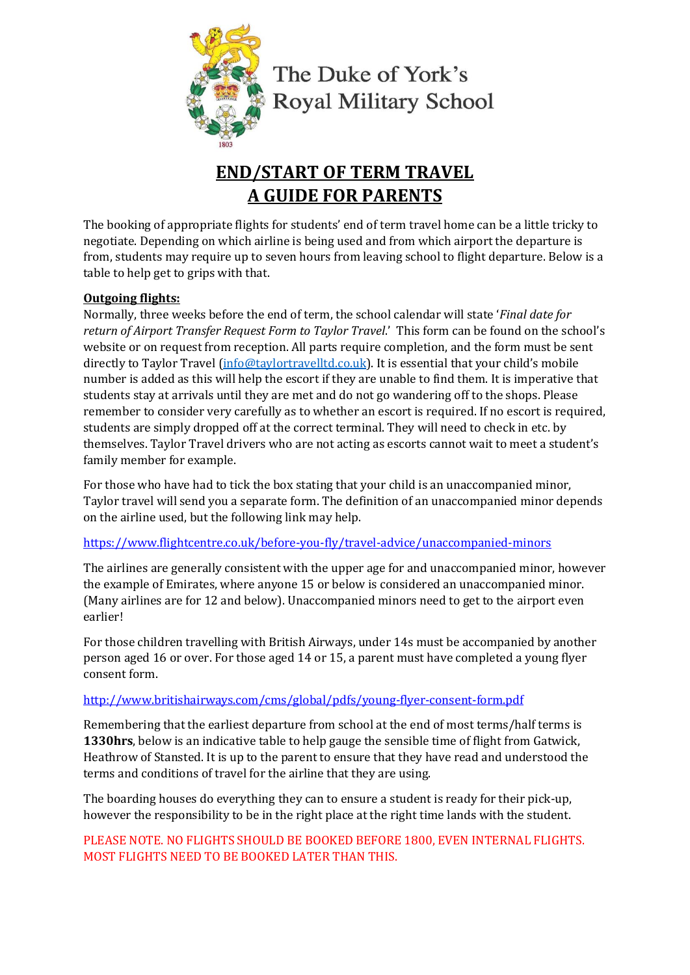

# **END/START OF TERM TRAVEL A GUIDE FOR PARENTS**

The booking of appropriate flights for students' end of term travel home can be a little tricky to negotiate. Depending on which airline is being used and from which airport the departure is from, students may require up to seven hours from leaving school to flight departure. Below is a table to help get to grips with that.

# **Outgoing flights:**

Normally, three weeks before the end of term, the school calendar will state '*Final date for return of Airport Transfer Request Form to Taylor Travel*.' This form can be found on the school's website or on request from reception. All parts require completion, and the form must be sent directly to Taylor Travel [\(info@taylortravelltd.co.uk\)](mailto:info@taylortravelltd.co.uk). It is essential that your child's mobile number is added as this will help the escort if they are unable to find them. It is imperative that students stay at arrivals until they are met and do not go wandering off to the shops. Please remember to consider very carefully as to whether an escort is required. If no escort is required, students are simply dropped off at the correct terminal. They will need to check in etc. by themselves. Taylor Travel drivers who are not acting as escorts cannot wait to meet a student's family member for example.

For those who have had to tick the box stating that your child is an unaccompanied minor, Taylor travel will send you a separate form. The definition of an unaccompanied minor depends on the airline used, but the following link may help.

<https://www.flightcentre.co.uk/before-you-fly/travel-advice/unaccompanied-minors>

The airlines are generally consistent with the upper age for and unaccompanied minor, however the example of Emirates, where anyone 15 or below is considered an unaccompanied minor. (Many airlines are for 12 and below). Unaccompanied minors need to get to the airport even earlier!

For those children travelling with British Airways, under 14s must be accompanied by another person aged 16 or over. For those aged 14 or 15, a parent must have completed a young flyer consent form.

# <http://www.britishairways.com/cms/global/pdfs/young-flyer-consent-form.pdf>

Remembering that the earliest departure from school at the end of most terms/half terms is **1330hrs**, below is an indicative table to help gauge the sensible time of flight from Gatwick, Heathrow of Stansted. It is up to the parent to ensure that they have read and understood the terms and conditions of travel for the airline that they are using.

The boarding houses do everything they can to ensure a student is ready for their pick-up, however the responsibility to be in the right place at the right time lands with the student.

## PLEASE NOTE. NO FLIGHTS SHOULD BE BOOKED BEFORE 1800, EVEN INTERNAL FLIGHTS. MOST FLIGHTS NEED TO BE BOOKED LATER THAN THIS.